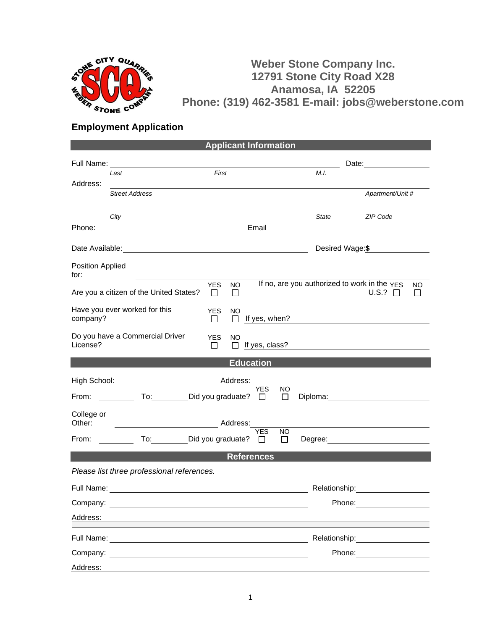

## **Weber Stone Company Inc. 12791 Stone City Road X28 Anamosa, IA 52205 Phone: (319) 462-3581 E-mail: jobs@weberstone.com**

## **Employment Application**

| <b>Applicant Information</b>                                                                                                                                                 |                                                                                                                       |                                              |                 |                                                                                                                                                                                                                                |  |
|------------------------------------------------------------------------------------------------------------------------------------------------------------------------------|-----------------------------------------------------------------------------------------------------------------------|----------------------------------------------|-----------------|--------------------------------------------------------------------------------------------------------------------------------------------------------------------------------------------------------------------------------|--|
| Full Name:                                                                                                                                                                   | <u> 1989 - Johann Harry Harry Harry Harry Harry Harry Harry Harry Harry Harry Harry Harry Harry Harry Harry Harry</u> |                                              |                 | Date: <u>___________________</u>                                                                                                                                                                                               |  |
|                                                                                                                                                                              | First<br>Last                                                                                                         |                                              | M.I.            |                                                                                                                                                                                                                                |  |
| Address:                                                                                                                                                                     | <b>Street Address</b>                                                                                                 |                                              |                 | Apartment/Unit #                                                                                                                                                                                                               |  |
| Phone:                                                                                                                                                                       | City                                                                                                                  | Email                                        | State           | ZIP Code                                                                                                                                                                                                                       |  |
|                                                                                                                                                                              |                                                                                                                       |                                              | Desired Wage:\$ |                                                                                                                                                                                                                                |  |
| Position Applied<br>for:                                                                                                                                                     |                                                                                                                       |                                              |                 |                                                                                                                                                                                                                                |  |
| If no, are you authorized to work in the YES<br><b>YES</b><br><b>NO</b><br><b>NO</b><br>Are you a citizen of the United States?<br>$U.S.?$ $\Box$<br>$\perp$<br>$\mathbf{L}$ |                                                                                                                       |                                              |                 |                                                                                                                                                                                                                                |  |
| Have you ever worked for this<br><b>YES</b><br><b>NO</b><br>company?<br>$\Box$<br>If yes, when?<br>$\Box$                                                                    |                                                                                                                       |                                              |                 |                                                                                                                                                                                                                                |  |
| License?                                                                                                                                                                     | Do you have a Commercial Driver<br><b>YES</b><br><b>NO</b><br>$\perp$<br>$\perp$                                      | If yes, class?                               |                 |                                                                                                                                                                                                                                |  |
| <b>Education</b>                                                                                                                                                             |                                                                                                                       |                                              |                 |                                                                                                                                                                                                                                |  |
|                                                                                                                                                                              |                                                                                                                       |                                              |                 | the control of the control of the control of the control of the control of the control of                                                                                                                                      |  |
| From:                                                                                                                                                                        | To: Did you graduate?                                                                                                 | <b>YES</b><br><b>NO</b><br>П<br>$\Box$       |                 |                                                                                                                                                                                                                                |  |
| College or<br>Other:<br>Address:                                                                                                                                             |                                                                                                                       |                                              |                 |                                                                                                                                                                                                                                |  |
| From:                                                                                                                                                                        | To: Did you graduate?                                                                                                 | <b>YES</b><br><b>NO</b><br>$\Box$<br>$\perp$ |                 |                                                                                                                                                                                                                                |  |
| <b>References</b>                                                                                                                                                            |                                                                                                                       |                                              |                 |                                                                                                                                                                                                                                |  |
|                                                                                                                                                                              | Please list three professional references.                                                                            |                                              |                 |                                                                                                                                                                                                                                |  |
|                                                                                                                                                                              |                                                                                                                       |                                              | Relationship:   |                                                                                                                                                                                                                                |  |
|                                                                                                                                                                              | Company: the company of the company of the company of the company of the company of the company of the company        |                                              |                 | Phone: the contract of the contract of the contract of the contract of the contract of the contract of the contract of the contract of the contract of the contract of the contract of the contract of the contract of the con |  |
| Address:                                                                                                                                                                     |                                                                                                                       |                                              |                 |                                                                                                                                                                                                                                |  |
| Full Name:                                                                                                                                                                   |                                                                                                                       |                                              | Relationship:   |                                                                                                                                                                                                                                |  |
|                                                                                                                                                                              | Company: the company of the company of the company of the company of the company of the company of the company        |                                              |                 | Phone: ________________                                                                                                                                                                                                        |  |
| Address:                                                                                                                                                                     |                                                                                                                       |                                              |                 |                                                                                                                                                                                                                                |  |